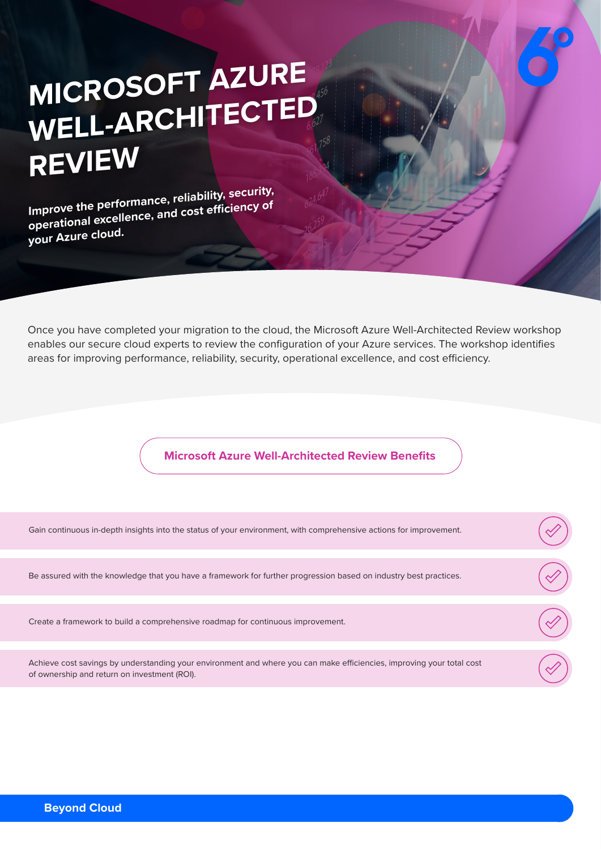## **MICROSOFT AZURE**  WELL-ARCHITECTED **REVIEW**

**Improve the performance, reliability, security, operational excellence, and cost efficiency of your Azure cloud.**

Once you have completed your migration to the cloud, the Microsoft Azure Well-Architected Review workshop enables our secure cloud experts to review the configuration of your Azure services. The workshop identifies areas for improving performance, reliability, security, operational excellence, and cost efficiency.

## **Microsoft Azure Well-Architected Review Benefits**

| Gain continuous in-depth insights into the status of your environment, with comprehensive actions for improvement.                                                    |  |
|-----------------------------------------------------------------------------------------------------------------------------------------------------------------------|--|
|                                                                                                                                                                       |  |
| Be assured with the knowledge that you have a framework for further progression based on industry best practices.                                                     |  |
|                                                                                                                                                                       |  |
| Create a framework to build a comprehensive roadmap for continuous improvement.                                                                                       |  |
|                                                                                                                                                                       |  |
| Achieve cost savings by understanding your environment and where you can make efficiencies, improving your total cost<br>of ownership and return on investment (ROI). |  |
|                                                                                                                                                                       |  |